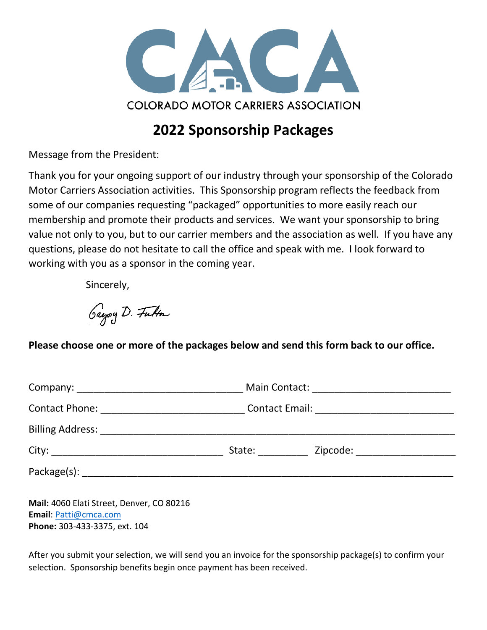

# **2022 Sponsorship Packages**

Message from the President:

Thank you for your ongoing support of our industry through your sponsorship of the Colorado Motor Carriers Association activities. This Sponsorship program reflects the feedback from some of our companies requesting "packaged" opportunities to more easily reach our membership and promote their products and services. We want your sponsorship to bring value not only to you, but to our carrier members and the association as well. If you have any questions, please do not hesitate to call the office and speak with me. I look forward to working with you as a sponsor in the coming year.

Sincerely,

Gregory D. Futton

**Please choose one or more of the packages below and send this form back to our office.**

| Zipcode: _____________________<br>State: the state of the state of the state of the state of the state of the state of the state of the state of the state of the state of the state of the state of the state of the state of the state of the state of the sta |  |
|------------------------------------------------------------------------------------------------------------------------------------------------------------------------------------------------------------------------------------------------------------------|--|
|                                                                                                                                                                                                                                                                  |  |
|                                                                                                                                                                                                                                                                  |  |

**Mail:** 4060 Elati Street, Denver, CO 80216 **Email**: [Patti@cmca.com](mailto:Patti@cmca.com) **Phone:** 303-433-3375, ext. 104

After you submit your selection, we will send you an invoice for the sponsorship package(s) to confirm your selection. Sponsorship benefits begin once payment has been received.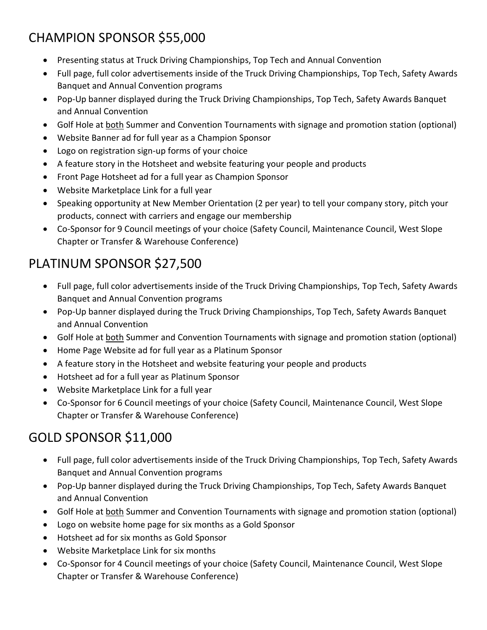# CHAMPION SPONSOR \$55,000

- Presenting status at Truck Driving Championships, Top Tech and Annual Convention
- Full page, full color advertisements inside of the Truck Driving Championships, Top Tech, Safety Awards Banquet and Annual Convention programs
- Pop-Up banner displayed during the Truck Driving Championships, Top Tech, Safety Awards Banquet and Annual Convention
- Golf Hole at both Summer and Convention Tournaments with signage and promotion station (optional)
- Website Banner ad for full year as a Champion Sponsor
- Logo on registration sign-up forms of your choice
- A feature story in the Hotsheet and website featuring your people and products
- Front Page Hotsheet ad for a full year as Champion Sponsor
- Website Marketplace Link for a full year
- Speaking opportunity at New Member Orientation (2 per year) to tell your company story, pitch your products, connect with carriers and engage our membership
- Co-Sponsor for 9 Council meetings of your choice (Safety Council, Maintenance Council, West Slope Chapter or Transfer & Warehouse Conference)

# PLATINUM SPONSOR \$27,500

- Full page, full color advertisements inside of the Truck Driving Championships, Top Tech, Safety Awards Banquet and Annual Convention programs
- Pop-Up banner displayed during the Truck Driving Championships, Top Tech, Safety Awards Banquet and Annual Convention
- Golf Hole at both Summer and Convention Tournaments with signage and promotion station (optional)
- Home Page Website ad for full year as a Platinum Sponsor
- A feature story in the Hotsheet and website featuring your people and products
- Hotsheet ad for a full year as Platinum Sponsor
- Website Marketplace Link for a full year
- Co-Sponsor for 6 Council meetings of your choice (Safety Council, Maintenance Council, West Slope Chapter or Transfer & Warehouse Conference)

### GOLD SPONSOR \$11,000

- Full page, full color advertisements inside of the Truck Driving Championships, Top Tech, Safety Awards Banquet and Annual Convention programs
- Pop-Up banner displayed during the Truck Driving Championships, Top Tech, Safety Awards Banquet and Annual Convention
- Golf Hole at both Summer and Convention Tournaments with signage and promotion station (optional)
- Logo on website home page for six months as a Gold Sponsor
- Hotsheet ad for six months as Gold Sponsor
- Website Marketplace Link for six months
- Co-Sponsor for 4 Council meetings of your choice (Safety Council, Maintenance Council, West Slope Chapter or Transfer & Warehouse Conference)